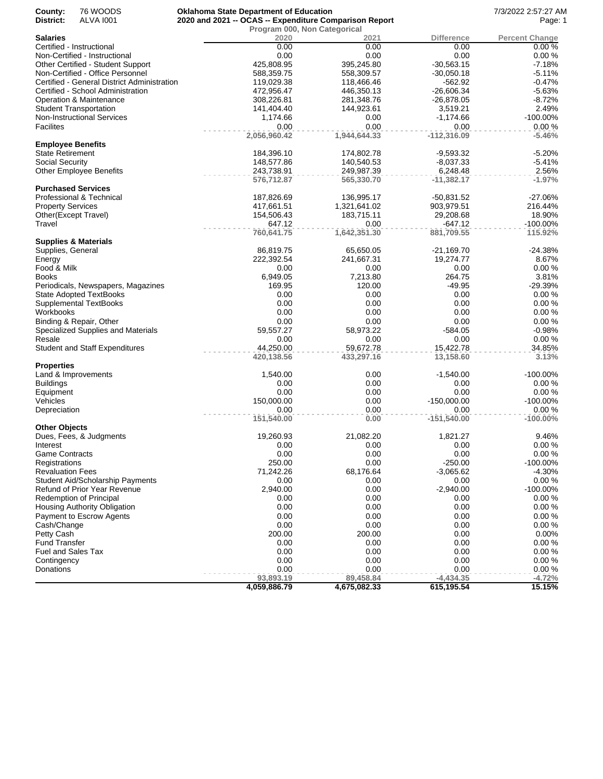| County:<br>District:     | 76 WOODS<br><b>ALVA 1001</b>                | <b>Oklahoma State Department of Education</b><br>2020 and 2021 -- OCAS -- Expenditure Comparison Report |                              |                           | 7/3/2022 2:57:27 AM<br>Page: 1 |
|--------------------------|---------------------------------------------|---------------------------------------------------------------------------------------------------------|------------------------------|---------------------------|--------------------------------|
|                          |                                             |                                                                                                         | Program 000, Non Categorical |                           |                                |
| Salaries                 | Certified - Instructional                   | 2020<br>0.00                                                                                            | 2021<br>0.00                 | <b>Difference</b><br>0.00 | <b>Percent Change</b><br>0.00% |
|                          | Non-Certified - Instructional               | 0.00                                                                                                    | 0.00                         | 0.00                      | 0.00%                          |
|                          | Other Certified - Student Support           | 425,808.95                                                                                              | 395,245.80                   | $-30,563.15$              | $-7.18%$                       |
|                          | Non-Certified - Office Personnel            | 588,359.75                                                                                              | 558,309.57                   | $-30,050.18$              | $-5.11%$                       |
|                          | Certified - General District Administration | 119,029.38                                                                                              | 118,466.46                   | $-562.92$                 | $-0.47%$                       |
|                          | Certified - School Administration           | 472,956.47                                                                                              | 446,350.13                   | $-26,606.34$              | $-5.63%$                       |
|                          | Operation & Maintenance                     | 308,226.81                                                                                              | 281,348.76                   | $-26,878.05$              | $-8.72%$                       |
|                          | <b>Student Transportation</b>               | 141,404.40                                                                                              | 144,923.61                   | 3,519.21                  | 2.49%                          |
|                          | <b>Non-Instructional Services</b>           | 1,174.66                                                                                                | 0.00                         | $-1,174.66$               | $-100.00\%$                    |
| <b>Facilites</b>         |                                             | 0.00                                                                                                    | 0.00                         | 0.00                      | 0.00%                          |
| <b>Employee Benefits</b> |                                             | 2,056,960.42                                                                                            | 1,944,644.33                 | $-112,316.09$             | $-5.46%$                       |
| <b>State Retirement</b>  |                                             | 184,396.10                                                                                              | 174,802.78                   | $-9,593.32$               | $-5.20%$                       |
| Social Security          |                                             | 148,577.86                                                                                              | 140,540.53                   | $-8,037.33$               | $-5.41%$                       |
|                          | Other Employee Benefits                     | 243,738.91                                                                                              | 249,987.39                   | 6,248.48                  | 2.56%                          |
|                          |                                             | 576,712.87                                                                                              | 565,330.70                   | $-11,382.17$              | $-1.97%$                       |
|                          | <b>Purchased Services</b>                   |                                                                                                         |                              |                           |                                |
|                          | Professional & Technical                    | 187,826.69                                                                                              | 136,995.17                   | $-50,831.52$              | $-27.06%$                      |
| <b>Property Services</b> |                                             | 417,661.51                                                                                              | 1,321,641.02                 | 903,979.51                | 216.44%                        |
|                          | Other(Except Travel)                        | 154,506.43                                                                                              | 183,715.11                   | 29,208.68                 | 18.90%                         |
| Travel                   |                                             | 647.12<br>760,641.75                                                                                    | 0.00<br>1,642,351.30         | $-647.12$<br>881,709.55   | -100.00%<br>115.92%            |
|                          | <b>Supplies &amp; Materials</b>             |                                                                                                         |                              |                           |                                |
| Supplies, General        |                                             | 86,819.75                                                                                               | 65,650.05                    | $-21,169.70$              | $-24.38%$                      |
| Energy                   |                                             | 222,392.54                                                                                              | 241,667.31                   | 19,274.77                 | 8.67%                          |
| Food & Milk              |                                             | 0.00                                                                                                    | 0.00                         | 0.00                      | 0.00%                          |
| <b>Books</b>             |                                             | 6,949.05                                                                                                | 7,213.80                     | 264.75                    | 3.81%                          |
|                          | Periodicals, Newspapers, Magazines          | 169.95                                                                                                  | 120.00                       | $-49.95$                  | $-29.39%$                      |
|                          | <b>State Adopted TextBooks</b>              | 0.00                                                                                                    | 0.00                         | 0.00                      | 0.00%                          |
|                          | <b>Supplemental TextBooks</b>               | 0.00                                                                                                    | 0.00                         | 0.00                      | 0.00%                          |
| Workbooks                |                                             | 0.00                                                                                                    | 0.00                         | 0.00                      | 0.00%                          |
|                          | Binding & Repair, Other                     | 0.00                                                                                                    | 0.00                         | 0.00                      | 0.00%                          |
|                          | Specialized Supplies and Materials          | 59,557.27                                                                                               | 58,973.22                    | $-584.05$                 | $-0.98%$                       |
| Resale                   |                                             | 0.00<br>44,250.00                                                                                       | 0.00<br>59,672.78            | 0.00                      | 0.00%<br>34.85%                |
|                          | <b>Student and Staff Expenditures</b>       | 420,138.56                                                                                              | 433,297.16                   | 15,422.78<br>13,158.60    | 3.13%                          |
| <b>Properties</b>        |                                             |                                                                                                         |                              |                           |                                |
|                          | Land & Improvements                         | 1,540.00                                                                                                | 0.00                         | $-1,540.00$               | -100.00%                       |
| <b>Buildings</b>         |                                             | 0.00                                                                                                    | 0.00                         | 0.00                      | 0.00%                          |
| Equipment                |                                             | 0.00                                                                                                    | 0.00                         | 0.00                      | 0.00%                          |
| Vehicles                 |                                             | 150,000.00                                                                                              | 0.00                         | $-150,000.00$             | -100.00%                       |
| Depreciation             |                                             | 0.00                                                                                                    | 0.00                         | 0.00                      | 0.00%                          |
| <b>Other Objects</b>     |                                             | 151,540.00                                                                                              | 0.00                         | $-151,540.00$             | $-100.00\%$                    |
|                          | Dues, Fees, & Judgments                     | 19,260.93                                                                                               | 21,082.20                    | 1,821.27                  | 9.46%                          |
| Interest                 |                                             | 0.00                                                                                                    | 0.00                         | 0.00                      | 0.00 %                         |
| <b>Game Contracts</b>    |                                             | 0.00                                                                                                    | 0.00                         | 0.00                      | 0.00%                          |
| Registrations            |                                             | 250.00                                                                                                  | 0.00                         | $-250.00$                 | -100.00%                       |
| <b>Revaluation Fees</b>  |                                             | 71,242.26                                                                                               | 68,176.64                    | $-3,065.62$               | $-4.30%$                       |
|                          | Student Aid/Scholarship Payments            | 0.00                                                                                                    | 0.00                         | 0.00                      | 0.00%                          |
|                          | Refund of Prior Year Revenue                | 2,940.00                                                                                                | 0.00                         | $-2,940.00$               | -100.00%                       |
|                          | <b>Redemption of Principal</b>              | 0.00                                                                                                    | 0.00                         | 0.00                      | 0.00%                          |
|                          | Housing Authority Obligation                | 0.00                                                                                                    | 0.00                         | 0.00                      | 0.00%                          |
|                          | Payment to Escrow Agents                    | 0.00                                                                                                    | 0.00                         | 0.00                      | 0.00%                          |
| Cash/Change              |                                             | 0.00                                                                                                    | 0.00                         | 0.00                      | 0.00%                          |
| Petty Cash               |                                             | 200.00                                                                                                  | 200.00                       | 0.00                      | 0.00%                          |
| <b>Fund Transfer</b>     |                                             | 0.00                                                                                                    | 0.00                         | 0.00                      | 0.00%                          |
| Fuel and Sales Tax       |                                             | 0.00                                                                                                    | 0.00                         | 0.00                      | 0.00%                          |
| Contingency              |                                             | 0.00                                                                                                    | 0.00                         | 0.00                      | 0.00%                          |
| Donations                |                                             | 0.00                                                                                                    | 0.00                         | 0.00                      | 0.00%                          |
|                          |                                             | 93,893.19                                                                                               | 89,458.84                    | $-4,434.35$               | $-4.72%$                       |
|                          |                                             | 4,059,886.79                                                                                            | 4,675,082.33                 | 615,195.54                | 15.15%                         |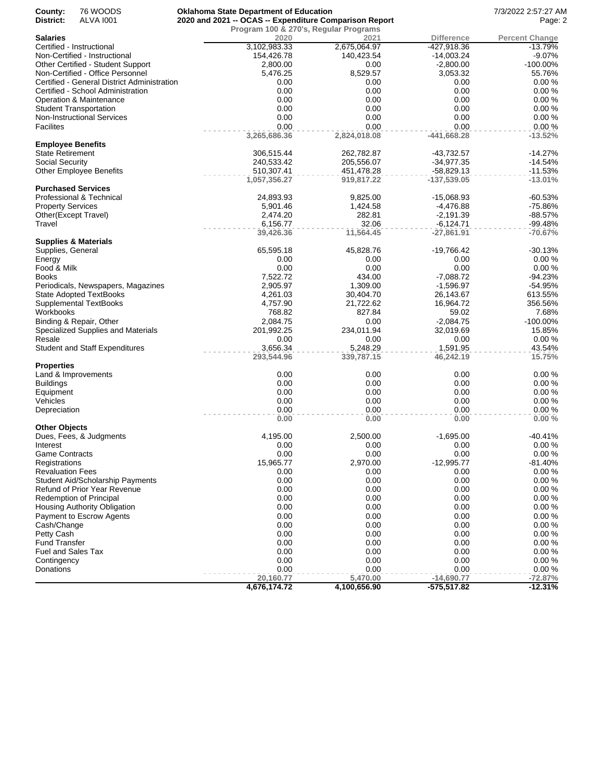| County:<br>District:     | 76 WOODS<br>ALVA 1001                       | <b>Oklahoma State Department of Education</b><br>2020 and 2021 -- OCAS -- Expenditure Comparison Report |                          |                             | 7/3/2022 2:57:27 AM<br>Page: 2 |
|--------------------------|---------------------------------------------|---------------------------------------------------------------------------------------------------------|--------------------------|-----------------------------|--------------------------------|
|                          |                                             | Program 100 & 270's, Regular Programs                                                                   |                          |                             |                                |
| <b>Salaries</b>          |                                             | 2020                                                                                                    | 2021                     | <b>Difference</b>           | <b>Percent Change</b>          |
|                          | Certified - Instructional                   | 3,102,983.33                                                                                            | 2,675,064.97             | -427,918.36                 | $-13.79%$                      |
|                          | Non-Certified - Instructional               | 154,426.78                                                                                              | 140,423.54               | $-14,003.24$                | $-9.07%$                       |
|                          | Other Certified - Student Support           | 2,800.00                                                                                                | 0.00                     | $-2,800.00$                 | $-100.00\%$                    |
|                          | Non-Certified - Office Personnel            | 5,476.25                                                                                                | 8,529.57                 | 3,053.32                    | 55.76%                         |
|                          | Certified - General District Administration | 0.00                                                                                                    | 0.00                     | 0.00                        | 0.00%                          |
|                          | Certified - School Administration           | 0.00                                                                                                    | 0.00                     | 0.00                        | 0.00%                          |
|                          | Operation & Maintenance                     | 0.00                                                                                                    | 0.00                     | 0.00                        | 0.00%                          |
|                          | <b>Student Transportation</b>               | 0.00                                                                                                    | 0.00                     | 0.00                        | 0.00%                          |
|                          | <b>Non-Instructional Services</b>           | 0.00                                                                                                    | 0.00                     | 0.00                        | 0.00%                          |
| <b>Facilites</b>         |                                             | 0.00                                                                                                    | 0.00                     | 0.00                        | 0.00%                          |
| <b>Employee Benefits</b> |                                             | 3,265,686.36                                                                                            | 2,824,018.08             | $-441,668.28$               | $-13.52%$                      |
| <b>State Retirement</b>  |                                             | 306,515.44                                                                                              | 262,782.87               | -43,732.57                  | $-14.27%$                      |
| Social Security          |                                             | 240,533.42                                                                                              | 205,556.07               | $-34,977.35$                | $-14.54%$                      |
|                          |                                             |                                                                                                         |                          |                             |                                |
|                          | <b>Other Employee Benefits</b>              | 510,307.41<br>1,057,356.27                                                                              | 451,478.28<br>919,817.22 | -58,829.13<br>$-137,539.05$ | $-11.53%$<br>$-13.01%$         |
|                          | <b>Purchased Services</b>                   |                                                                                                         |                          |                             |                                |
|                          | Professional & Technical                    | 24,893.93                                                                                               | 9,825.00                 | -15,068.93                  | $-60.53%$                      |
|                          |                                             | 5,901.46                                                                                                |                          |                             | $-75.86%$                      |
| <b>Property Services</b> | Other(Except Travel)                        | 2,474.20                                                                                                | 1,424.58<br>282.81       | $-4,476.88$                 | $-88.57%$                      |
|                          |                                             |                                                                                                         |                          | $-2,191.39$                 |                                |
| Travel                   |                                             | 6,156.77<br>39,426.36                                                                                   | 32.06<br>11,564.45       | $-6,124.71$<br>$-27,861.91$ | $-99.48%$<br>$-70.67%$         |
|                          | <b>Supplies &amp; Materials</b>             |                                                                                                         |                          |                             |                                |
| Supplies, General        |                                             | 65,595.18                                                                                               | 45,828.76                | -19,766.42                  | $-30.13%$                      |
| Energy                   |                                             | 0.00                                                                                                    | 0.00                     | 0.00                        | 0.00%                          |
| Food & Milk              |                                             | 0.00                                                                                                    | 0.00                     | 0.00                        | 0.00%                          |
| <b>Books</b>             |                                             | 7,522.72                                                                                                | 434.00                   | $-7,088.72$                 | $-94.23%$                      |
|                          | Periodicals, Newspapers, Magazines          | 2,905.97                                                                                                | 1,309.00                 | $-1,596.97$                 | $-54.95%$                      |
|                          | <b>State Adopted TextBooks</b>              | 4,261.03                                                                                                | 30,404.70                | 26,143.67                   | 613.55%                        |
|                          | Supplemental TextBooks                      | 4,757.90                                                                                                | 21,722.62                | 16,964.72                   | 356.56%                        |
| Workbooks                |                                             | 768.82                                                                                                  | 827.84                   | 59.02                       | 7.68%                          |
|                          | Binding & Repair, Other                     | 2,084.75                                                                                                | 0.00                     | $-2,084.75$                 | -100.00%                       |
|                          | Specialized Supplies and Materials          | 201,992.25                                                                                              | 234,011.94               | 32,019.69                   | 15.85%                         |
| Resale                   |                                             | 0.00                                                                                                    | 0.00                     | 0.00                        | 0.00%                          |
|                          | <b>Student and Staff Expenditures</b>       | 3,656.34                                                                                                | 5,248.29                 | 1,591.95                    | 43.54%                         |
|                          |                                             | 293,544.96                                                                                              | 339,787.15               | 46,242.19                   | 15.75%                         |
| <b>Properties</b>        |                                             |                                                                                                         |                          |                             |                                |
|                          | Land & Improvements                         | 0.00                                                                                                    | 0.00                     | 0.00                        | 0.00%                          |
| <b>Buildings</b>         |                                             | 0.00                                                                                                    | 0.00                     | 0.00                        | 0.00%                          |
| Equipment                |                                             | 0.00                                                                                                    | 0.00                     | 0.00                        | 0.00%                          |
| Vehicles                 |                                             | 0.00                                                                                                    | 0.00                     | 0.00                        | 0.00%                          |
| Depreciation             |                                             | 0.00                                                                                                    | 0.00                     | 0.00                        | 0.00%                          |
|                          |                                             | 0.00                                                                                                    | 0.00                     | 0.00                        | 0.00%                          |
| <b>Other Objects</b>     |                                             |                                                                                                         |                          |                             |                                |
|                          | Dues, Fees, & Judgments                     | 4,195.00                                                                                                | 2,500.00                 | $-1,695.00$                 | $-40.41%$                      |
| Interest                 |                                             | 0.00                                                                                                    | 0.00                     | 0.00                        | 0.00%                          |
| <b>Game Contracts</b>    |                                             | 0.00                                                                                                    | 0.00                     | 0.00                        | 0.00%                          |
| Registrations            |                                             | 15,965.77                                                                                               | 2,970.00                 | $-12,995.77$                | $-81.40%$                      |
| <b>Revaluation Fees</b>  |                                             | 0.00                                                                                                    | 0.00                     | 0.00                        | 0.00%                          |
|                          | <b>Student Aid/Scholarship Payments</b>     | 0.00                                                                                                    | 0.00                     | 0.00                        | 0.00%                          |
|                          | Refund of Prior Year Revenue                | 0.00                                                                                                    | 0.00                     | 0.00                        | 0.00%                          |
|                          | Redemption of Principal                     | 0.00                                                                                                    | 0.00                     | 0.00                        | 0.00%                          |
|                          | Housing Authority Obligation                | 0.00                                                                                                    | 0.00                     | 0.00                        | 0.00%                          |
|                          | Payment to Escrow Agents                    | 0.00                                                                                                    | 0.00                     | 0.00                        | 0.00%                          |
| Cash/Change              |                                             | 0.00                                                                                                    | 0.00                     | 0.00                        | 0.00%                          |
| Petty Cash               |                                             | 0.00                                                                                                    | 0.00                     | 0.00                        | 0.00%                          |
| <b>Fund Transfer</b>     |                                             | 0.00                                                                                                    | 0.00                     | 0.00                        | 0.00%                          |
| Fuel and Sales Tax       |                                             | 0.00                                                                                                    | 0.00                     | 0.00                        | 0.00%                          |
|                          |                                             | 0.00                                                                                                    | 0.00                     | 0.00                        | 0.00%                          |
| Contingency              |                                             | 0.00                                                                                                    |                          | 0.00                        | 0.00%                          |
| Donations                |                                             | 20,160.77                                                                                               | 0.00<br>5,470.00         | $-14,690.77$                | $-72.87%$                      |
|                          |                                             | 4,676,174.72                                                                                            | 4,100,656.90             | -575,517.82                 | $-12.31%$                      |
|                          |                                             |                                                                                                         |                          |                             |                                |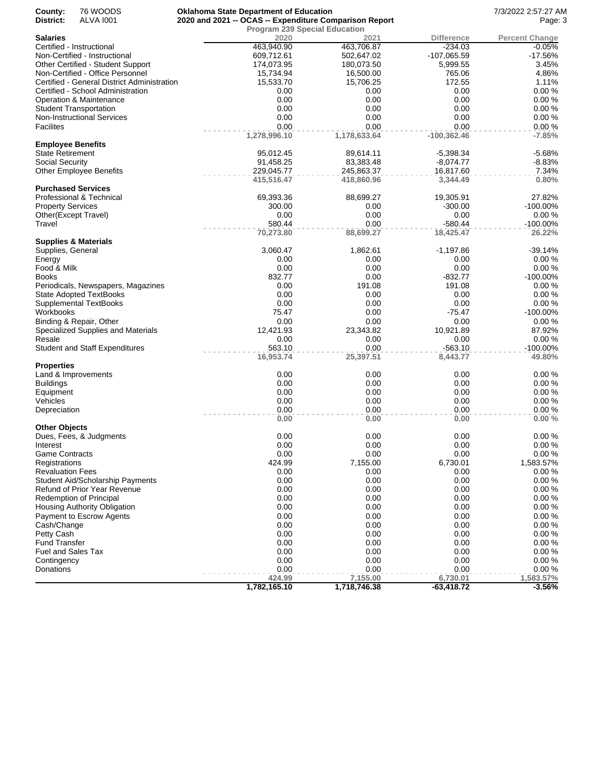| County:                           | 76 WOODS                                                                        | <b>Oklahoma State Department of Education</b>          |                                      |                     | 7/3/2022 2:57:27 AM   |
|-----------------------------------|---------------------------------------------------------------------------------|--------------------------------------------------------|--------------------------------------|---------------------|-----------------------|
| District:                         | <b>ALVA 1001</b>                                                                | 2020 and 2021 -- OCAS -- Expenditure Comparison Report | Page: 3                              |                     |                       |
|                                   |                                                                                 |                                                        | <b>Program 239 Special Education</b> |                     |                       |
| <b>Salaries</b>                   |                                                                                 | 2020                                                   | 2021                                 | <b>Difference</b>   | <b>Percent Change</b> |
|                                   | Certified - Instructional                                                       | 463,940.90                                             | 463,706.87                           | $-234.03$           | $-0.05%$              |
|                                   | Non-Certified - Instructional                                                   | 609,712.61                                             | 502,647.02                           | $-107,065.59$       | $-17.56%$             |
|                                   | Other Certified - Student Support                                               | 174,073.95                                             | 180,073.50                           | 5,999.55            | 3.45%                 |
|                                   | Non-Certified - Office Personnel<br>Certified - General District Administration | 15,734.94                                              | 16,500.00                            | 765.06              | 4.86%<br>1.11%        |
|                                   | Certified - School Administration                                               | 15,533.70<br>0.00                                      | 15,706.25<br>0.00                    | 172.55<br>0.00      | 0.00%                 |
|                                   | Operation & Maintenance                                                         | 0.00                                                   | 0.00                                 | 0.00                | 0.00%                 |
|                                   | <b>Student Transportation</b>                                                   | 0.00                                                   | 0.00                                 | 0.00                | 0.00%                 |
|                                   | <b>Non-Instructional Services</b>                                               | 0.00                                                   | 0.00                                 | 0.00                | 0.00%                 |
| <b>Facilites</b>                  |                                                                                 | 0.00                                                   | 0.00                                 | 0.00                | 0.00%                 |
|                                   |                                                                                 | 1,278,996.10                                           | 1,178,633.64                         | $-100,362.46$       | $-7.85%$              |
| <b>Employee Benefits</b>          |                                                                                 |                                                        |                                      |                     |                       |
| <b>State Retirement</b>           |                                                                                 | 95,012.45                                              | 89,614.11                            | $-5,398.34$         | $-5.68%$              |
| Social Security                   |                                                                                 | 91,458.25                                              | 83,383.48                            | $-8,074.77$         | $-8.83%$              |
|                                   | <b>Other Employee Benefits</b>                                                  | 229,045.77                                             | 245,863.37                           | 16,817.60           | 7.34%                 |
|                                   |                                                                                 | 415,516.47                                             | 418,860.96                           | 3,344.49            | 0.80%                 |
|                                   | <b>Purchased Services</b>                                                       |                                                        |                                      |                     |                       |
|                                   | Professional & Technical                                                        | 69,393.36                                              | 88,699.27                            | 19,305.91           | 27.82%                |
| <b>Property Services</b>          |                                                                                 | 300.00                                                 | 0.00                                 | $-300.00$           | $-100.00\%$           |
|                                   | Other(Except Travel)                                                            | 0.00                                                   | 0.00                                 | 0.00                | 0.00%                 |
| Travel                            |                                                                                 | 580.44                                                 | 0.00                                 | $-580.44$           | $-100.00\%$           |
|                                   |                                                                                 | 70,273.80                                              | 88,699.27                            | 18,425.47           | 26.22%                |
|                                   | <b>Supplies &amp; Materials</b>                                                 | 3,060.47                                               |                                      |                     | $-39.14%$             |
| Supplies, General<br>Energy       |                                                                                 | 0.00                                                   | 1,862.61<br>0.00                     | $-1,197.86$<br>0.00 | 0.00%                 |
| Food & Milk                       |                                                                                 | 0.00                                                   | 0.00                                 | 0.00                | 0.00%                 |
| <b>Books</b>                      |                                                                                 | 832.77                                                 | 0.00                                 | $-832.77$           | $-100.00\%$           |
|                                   | Periodicals, Newspapers, Magazines                                              | 0.00                                                   | 191.08                               | 191.08              | 0.00%                 |
|                                   | <b>State Adopted TextBooks</b>                                                  | 0.00                                                   | 0.00                                 | 0.00                | 0.00%                 |
|                                   | Supplemental TextBooks                                                          | 0.00                                                   | 0.00                                 | 0.00                | 0.00%                 |
| Workbooks                         |                                                                                 | 75.47                                                  | 0.00                                 | $-75.47$            | $-100.00\%$           |
|                                   | Binding & Repair, Other                                                         | 0.00                                                   | 0.00                                 | 0.00                | 0.00%                 |
|                                   | Specialized Supplies and Materials                                              | 12,421.93                                              | 23,343.82                            | 10,921.89           | 87.92%                |
| Resale                            |                                                                                 | 0.00                                                   | 0.00                                 | 0.00                | 0.00%                 |
|                                   | <b>Student and Staff Expenditures</b>                                           | 563.10                                                 | 0.00                                 | $-563.10$           | $-100.00\%$           |
|                                   |                                                                                 | 16,953.74                                              | 25,397.51                            | 8,443.77            | 49.80%                |
| <b>Properties</b>                 |                                                                                 |                                                        |                                      |                     |                       |
|                                   | Land & Improvements                                                             | 0.00                                                   | 0.00                                 | 0.00                | 0.00%                 |
| <b>Buildings</b>                  |                                                                                 | 0.00                                                   | 0.00                                 | 0.00                | 0.00%                 |
| Equipment                         |                                                                                 | 0.00                                                   | 0.00                                 | 0.00                | 0.00%                 |
| Vehicles                          |                                                                                 | 0.00                                                   | 0.00                                 | 0.00                | 0.00%                 |
| Depreciation                      |                                                                                 | 0.00                                                   | 0.00                                 | 0.00                | 0.00%                 |
|                                   |                                                                                 | 0.00                                                   | 0.00                                 | 0.00                | 0.00%                 |
| <b>Other Objects</b>              |                                                                                 |                                                        |                                      |                     |                       |
|                                   | Dues, Fees, & Judgments                                                         | 0.00                                                   | 0.00                                 | 0.00<br>0.00        | 0.00%<br>0.00%        |
| Interest<br><b>Game Contracts</b> |                                                                                 | 0.00<br>0.00                                           | 0.00                                 | 0.00                | 0.00%                 |
| Registrations                     |                                                                                 | 424.99                                                 | 0.00<br>7,155.00                     | 6,730.01            | 1,583.57%             |
| <b>Revaluation Fees</b>           |                                                                                 | 0.00                                                   | 0.00                                 | 0.00                | 0.00%                 |
|                                   | <b>Student Aid/Scholarship Payments</b>                                         | 0.00                                                   | 0.00                                 | 0.00                | 0.00%                 |
|                                   | <b>Refund of Prior Year Revenue</b>                                             | 0.00                                                   | 0.00                                 | 0.00                | 0.00%                 |
|                                   | <b>Redemption of Principal</b>                                                  | 0.00                                                   | 0.00                                 | 0.00                | 0.00%                 |
|                                   | <b>Housing Authority Obligation</b>                                             | 0.00                                                   | 0.00                                 | 0.00                | 0.00%                 |
|                                   | Payment to Escrow Agents                                                        | 0.00                                                   | 0.00                                 | 0.00                | 0.00%                 |
| Cash/Change                       |                                                                                 | 0.00                                                   | 0.00                                 | 0.00                | 0.00%                 |
| Petty Cash                        |                                                                                 | 0.00                                                   | 0.00                                 | 0.00                | 0.00%                 |
| <b>Fund Transfer</b>              |                                                                                 | 0.00                                                   | 0.00                                 | 0.00                | 0.00%                 |
| Fuel and Sales Tax                |                                                                                 | 0.00                                                   | 0.00                                 | 0.00                | 0.00%                 |
| Contingency                       |                                                                                 | 0.00                                                   | 0.00                                 | 0.00                | 0.00%                 |
| Donations                         |                                                                                 | 0.00                                                   | 0.00                                 | 0.00                | 0.00%                 |
|                                   |                                                                                 | 424.99                                                 | 7,155.00                             | 6,730.01            | 1,583.57%             |
|                                   |                                                                                 | 1,782,165.10                                           | 1,718,746.38                         | $-63,418.72$        | $-3.56%$              |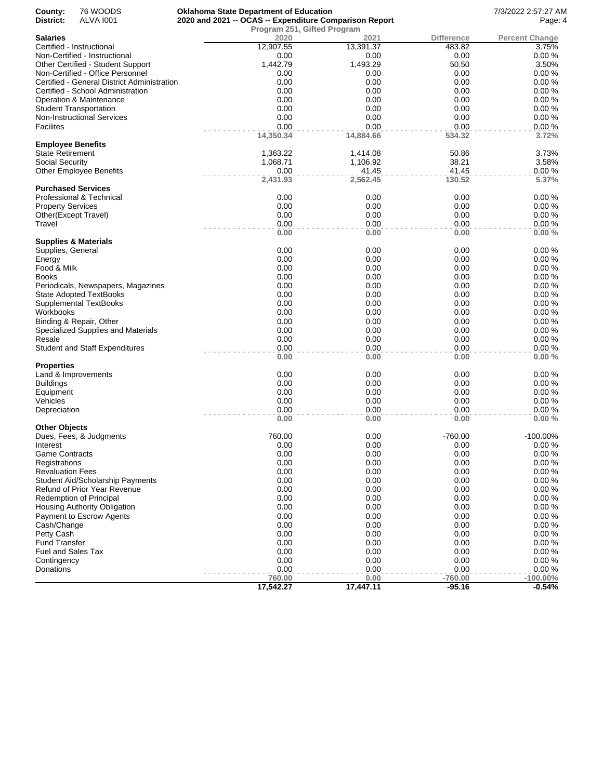| County:                  | 76 WOODS                                    | <b>Oklahoma State Department of Education</b>          |           |                   | 7/3/2022 2:57:27 AM   |
|--------------------------|---------------------------------------------|--------------------------------------------------------|-----------|-------------------|-----------------------|
| District:                | <b>ALVA 1001</b>                            | 2020 and 2021 -- OCAS -- Expenditure Comparison Report | Page: 4   |                   |                       |
| Salaries                 |                                             | Program 251, Gifted Program<br>2020                    | 2021      | <b>Difference</b> | <b>Percent Change</b> |
|                          | Certified - Instructional                   | 12,907.55                                              | 13,391.37 | 483.82            | 3.75%                 |
|                          | Non-Certified - Instructional               | 0.00                                                   | 0.00      | 0.00              | 0.00%                 |
|                          | Other Certified - Student Support           | 1,442.79                                               | 1,493.29  | 50.50             | 3.50%                 |
|                          | Non-Certified - Office Personnel            | 0.00                                                   | 0.00      | 0.00              | 0.00%                 |
|                          | Certified - General District Administration | 0.00                                                   | 0.00      | 0.00              | 0.00%                 |
|                          | Certified - School Administration           | 0.00                                                   | 0.00      | 0.00              | 0.00%                 |
|                          | Operation & Maintenance                     | 0.00                                                   | 0.00      | 0.00              | 0.00%                 |
|                          | <b>Student Transportation</b>               | 0.00                                                   | 0.00      | 0.00              | 0.00%                 |
|                          | <b>Non-Instructional Services</b>           | 0.00                                                   | 0.00      | 0.00              | 0.00%                 |
| Facilites                |                                             | 0.00                                                   | 0.00      | 0.00              | 0.00%                 |
|                          |                                             | 14,350.34                                              | 14,884.66 | 534.32            | 3.72%                 |
| <b>Employee Benefits</b> |                                             |                                                        |           |                   |                       |
| State Retirement         |                                             | 1,363.22                                               | 1,414.08  | 50.86             | 3.73%                 |
| Social Security          |                                             | 1,068.71                                               | 1,106.92  | 38.21             | 3.58%                 |
|                          | <b>Other Employee Benefits</b>              | 0.00                                                   | 41.45     | 41.45             | 0.00%                 |
|                          |                                             | 2,431.93                                               | 2,562.45  | 130.52            | 5.37%                 |
|                          | <b>Purchased Services</b>                   |                                                        |           |                   |                       |
|                          | Professional & Technical                    | 0.00                                                   | 0.00      | 0.00              | 0.00%                 |
| <b>Property Services</b> |                                             | 0.00                                                   | 0.00      | 0.00              | 0.00%                 |
|                          | Other(Except Travel)                        | 0.00                                                   | 0.00      | 0.00              | 0.00%                 |
| Travel                   |                                             | 0.00                                                   | 0.00      | 0.00              | 0.00%                 |
|                          | Supplies & Materials                        | 0.00                                                   | 0.00      | 0.00              | 0.00%                 |
| Supplies, General        |                                             | 0.00                                                   | 0.00      | 0.00              | 0.00%                 |
| Energy                   |                                             | 0.00                                                   | 0.00      | 0.00              | 0.00%                 |
| Food & Milk              |                                             | 0.00                                                   | 0.00      | 0.00              | 0.00%                 |
| Books                    |                                             | 0.00                                                   | 0.00      | 0.00              | 0.00%                 |
|                          | Periodicals, Newspapers, Magazines          | 0.00                                                   | 0.00      | 0.00              | 0.00%                 |
|                          | <b>State Adopted TextBooks</b>              | 0.00                                                   | 0.00      | 0.00              | 0.00%                 |
|                          | Supplemental TextBooks                      | 0.00                                                   | 0.00      | 0.00              | 0.00%                 |
| Workbooks                |                                             | 0.00                                                   | 0.00      | 0.00              | 0.00%                 |
|                          | Binding & Repair, Other                     | 0.00                                                   | 0.00      | 0.00              | 0.00%                 |
|                          | Specialized Supplies and Materials          | 0.00                                                   | 0.00      | 0.00              | 0.00%                 |
| Resale                   |                                             | 0.00                                                   | 0.00      | 0.00              | 0.00%                 |
|                          | <b>Student and Staff Expenditures</b>       | 0.00                                                   | 0.00      | 0.00              | 0.00%                 |
|                          |                                             | 0.00                                                   | 0.00      | 0.00              | 0.00%                 |
| <b>Properties</b>        |                                             |                                                        |           |                   |                       |
|                          | Land & Improvements                         | 0.00                                                   | 0.00      | 0.00              | 0.00%                 |
| Buildings                |                                             | 0.00                                                   | 0.00      | 0.00              | 0.00%                 |
| Equipment                |                                             | 0.00                                                   | 0.00      | 0.00              | 0.00%                 |
| Vehicles                 |                                             | 0.00                                                   | 0.00      | 0.00              | 0.00%                 |
| Depreciation             |                                             | 0.00                                                   | 0.00      | 0.00              | 0.00%                 |
| <b>Other Objects</b>     |                                             | 0.00                                                   | 0.00      | 0.00              | 0.00%                 |
|                          | Dues, Fees, & Judgments                     | 760.00                                                 | 0.00      | $-760.00$         | -100.00%              |
| Interest                 |                                             | 0.00                                                   | 0.00      | 0.00              | 0.00%                 |
| Game Contracts           |                                             | 0.00                                                   | 0.00      | 0.00              | 0.00%                 |
| Registrations            |                                             | 0.00                                                   | 0.00      | 0.00              | 0.00%                 |
| <b>Revaluation Fees</b>  |                                             | 0.00                                                   | 0.00      | 0.00              | 0.00%                 |
|                          | <b>Student Aid/Scholarship Payments</b>     | 0.00                                                   | 0.00      | 0.00              | 0.00%                 |
|                          | Refund of Prior Year Revenue                | 0.00                                                   | 0.00      | 0.00              | 0.00%                 |
|                          | <b>Redemption of Principal</b>              | 0.00                                                   | 0.00      | 0.00              | 0.00%                 |
|                          | <b>Housing Authority Obligation</b>         | 0.00                                                   | 0.00      | 0.00              | 0.00%                 |
|                          | Payment to Escrow Agents                    | 0.00                                                   | 0.00      | 0.00              | 0.00%                 |
| Cash/Change              |                                             | 0.00                                                   | 0.00      | 0.00              | 0.00%                 |
| Petty Cash               |                                             | 0.00                                                   | 0.00      | 0.00              | 0.00%                 |
| <b>Fund Transfer</b>     |                                             | 0.00                                                   | 0.00      | 0.00              | 0.00%                 |
| Fuel and Sales Tax       |                                             | 0.00                                                   | 0.00      | 0.00              | 0.00%                 |
| Contingency              |                                             | 0.00                                                   | 0.00      | 0.00              | 0.00%                 |
| Donations                |                                             | 0.00                                                   | 0.00      | 0.00              | 0.00%                 |
|                          |                                             | 760.00                                                 | 0.00      | $-760.00$         | $-100.00\%$           |
|                          |                                             | 17,542.27                                              | 17,447.11 | $-95.16$          | $-0.54%$              |
|                          |                                             |                                                        |           |                   |                       |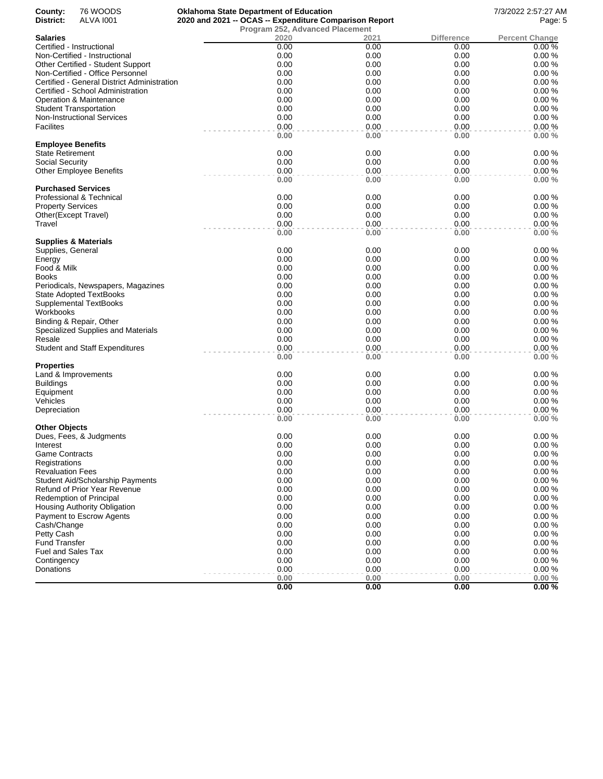| County:<br>District:      | 76 WOODS<br><b>ALVA 1001</b>                             | <b>Oklahoma State Department of Education</b><br>2020 and 2021 -- OCAS -- Expenditure Comparison Report |              |                   | 7/3/2022 2:57:27 AM<br>Page: 5 |
|---------------------------|----------------------------------------------------------|---------------------------------------------------------------------------------------------------------|--------------|-------------------|--------------------------------|
|                           |                                                          | <b>Program 252, Advanced Placement</b>                                                                  |              |                   |                                |
| <b>Salaries</b>           |                                                          | 2020                                                                                                    | 2021         | <b>Difference</b> | <b>Percent Change</b>          |
|                           | Certified - Instructional                                | 0.00                                                                                                    | 0.00         | 0.00              | 0.00%                          |
|                           | Non-Certified - Instructional                            | 0.00                                                                                                    | 0.00         | 0.00              | 0.00%                          |
|                           | Other Certified - Student Support                        | 0.00                                                                                                    | 0.00         | 0.00              | 0.00%                          |
|                           | Non-Certified - Office Personnel                         | 0.00                                                                                                    | 0.00         | 0.00              | 0.00%                          |
|                           | Certified - General District Administration              | 0.00<br>0.00                                                                                            | 0.00<br>0.00 | 0.00              | 0.00%<br>0.00%                 |
|                           | Certified - School Administration                        | 0.00                                                                                                    | 0.00         | 0.00<br>0.00      | 0.00%                          |
|                           | Operation & Maintenance<br><b>Student Transportation</b> | 0.00                                                                                                    | 0.00         | 0.00              | 0.00%                          |
|                           | <b>Non-Instructional Services</b>                        | 0.00                                                                                                    | 0.00         | 0.00              | 0.00%                          |
| <b>Facilites</b>          |                                                          | 0.00                                                                                                    | 0.00         | 0.00              | 0.00%                          |
|                           |                                                          | 0.00                                                                                                    | 0.00         | 0.00              | 0.00%                          |
| <b>Employee Benefits</b>  |                                                          |                                                                                                         |              |                   |                                |
| <b>State Retirement</b>   |                                                          | 0.00                                                                                                    | 0.00         | 0.00              | 0.00%                          |
| Social Security           |                                                          | 0.00                                                                                                    | 0.00         | 0.00              | 0.00%                          |
|                           | <b>Other Employee Benefits</b>                           | 0.00                                                                                                    | 0.00         | 0.00              | 0.00%                          |
|                           |                                                          | 0.00                                                                                                    | 0.00         | 0.00              | 0.00%                          |
|                           | <b>Purchased Services</b>                                |                                                                                                         |              |                   |                                |
|                           | Professional & Technical                                 | 0.00                                                                                                    | 0.00         | 0.00              | 0.00%                          |
| <b>Property Services</b>  |                                                          | 0.00                                                                                                    | 0.00         | 0.00              | 0.00%                          |
|                           | Other(Except Travel)                                     | 0.00                                                                                                    | 0.00         | 0.00              | 0.00%                          |
| Travel                    |                                                          | 0.00<br>0.00                                                                                            | 0.00<br>0.00 | 0.00<br>0.00      | 0.00%<br>0.00%                 |
|                           | <b>Supplies &amp; Materials</b>                          |                                                                                                         |              |                   |                                |
| Supplies, General         |                                                          | 0.00                                                                                                    | 0.00         | 0.00              | 0.00%                          |
| Energy                    |                                                          | 0.00                                                                                                    | 0.00         | 0.00              | 0.00%                          |
| Food & Milk               |                                                          | 0.00                                                                                                    | 0.00         | 0.00              | 0.00%                          |
| Books                     |                                                          | 0.00                                                                                                    | 0.00         | 0.00              | 0.00%                          |
|                           | Periodicals, Newspapers, Magazines                       | 0.00                                                                                                    | 0.00         | 0.00              | 0.00%                          |
|                           | <b>State Adopted TextBooks</b>                           | 0.00                                                                                                    | 0.00         | 0.00              | 0.00%                          |
|                           | Supplemental TextBooks                                   | 0.00                                                                                                    | 0.00         | 0.00              | 0.00%                          |
| Workbooks                 |                                                          | 0.00                                                                                                    | 0.00         | 0.00              | 0.00%                          |
|                           | Binding & Repair, Other                                  | 0.00                                                                                                    | 0.00         | 0.00              | 0.00%                          |
|                           | Specialized Supplies and Materials                       | 0.00                                                                                                    | 0.00         | 0.00              | 0.00%                          |
| Resale                    |                                                          | 0.00                                                                                                    | 0.00         | 0.00              | 0.00%                          |
|                           | <b>Student and Staff Expenditures</b>                    | 0.00                                                                                                    | 0.00         | 0.00              | 0.00%                          |
|                           |                                                          | 0.00                                                                                                    | 0.00         | 0.00              | 0.00%                          |
| Properties                |                                                          |                                                                                                         |              |                   |                                |
|                           | Land & Improvements                                      | 0.00                                                                                                    | 0.00         | 0.00              | 0.00%                          |
| <b>Buildings</b>          |                                                          | 0.00<br>0.00                                                                                            | 0.00         | 0.00              | 0.00%<br>0.00%                 |
| Equipment<br>Vehicles     |                                                          | 0.00                                                                                                    | 0.00<br>0.00 | 0.00<br>0.00      | 0.00%                          |
| Depreciation              |                                                          | 0.00                                                                                                    | 0.00         | 0.00              | 0.00%                          |
|                           |                                                          | 0.00                                                                                                    | 0.00         | 0.00              | 0.00%                          |
| Other Objects             |                                                          |                                                                                                         |              |                   |                                |
|                           | Dues, Fees, & Judgments                                  | 0.00                                                                                                    | 0.00         | 0.00              | 0.00%                          |
| Interest                  |                                                          | 0.00                                                                                                    | 0.00         | 0.00              | 0.00%                          |
| Game Contracts            |                                                          | 0.00                                                                                                    | 0.00         | 0.00              | 0.00%                          |
| Registrations             |                                                          | 0.00                                                                                                    | 0.00         | 0.00              | 0.00%                          |
| <b>Revaluation Fees</b>   |                                                          | 0.00                                                                                                    | 0.00         | 0.00              | 0.00%                          |
|                           | <b>Student Aid/Scholarship Payments</b>                  | 0.00                                                                                                    | 0.00         | 0.00              | 0.00%                          |
|                           | Refund of Prior Year Revenue                             | 0.00                                                                                                    | 0.00         | 0.00              | 0.00%                          |
|                           | Redemption of Principal                                  | 0.00                                                                                                    | 0.00         | 0.00              | 0.00%                          |
|                           | Housing Authority Obligation                             | 0.00                                                                                                    | 0.00         | 0.00              | 0.00%                          |
|                           | Payment to Escrow Agents                                 | 0.00                                                                                                    | 0.00         | 0.00              | 0.00%                          |
| Cash/Change               |                                                          | 0.00                                                                                                    | 0.00         | 0.00              | 0.00%                          |
| Petty Cash                |                                                          | 0.00                                                                                                    | 0.00         | 0.00              | 0.00%                          |
| <b>Fund Transfer</b>      |                                                          | 0.00                                                                                                    | 0.00         | 0.00              | 0.00%                          |
| <b>Fuel and Sales Tax</b> |                                                          | 0.00                                                                                                    | 0.00         | 0.00              | 0.00%                          |
| Contingency               |                                                          | 0.00                                                                                                    | 0.00         | 0.00              | 0.00%                          |
| Donations                 |                                                          | 0.00                                                                                                    | 0.00         | 0.00              | 0.00%                          |
|                           |                                                          | 0.00                                                                                                    | 0.00         | 0.00              | 0.00%                          |
|                           |                                                          | 0.00                                                                                                    | 0.00         | 0.00              | 0.00%                          |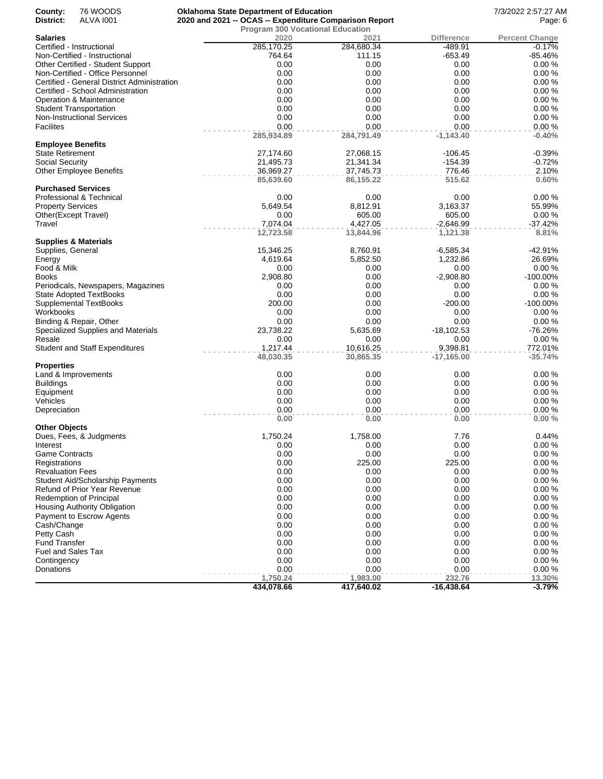| County:                  | 76 WOODS                                    | <b>Oklahoma State Department of Education</b>          |            |              | 7/3/2022 2:57:27 AM   |
|--------------------------|---------------------------------------------|--------------------------------------------------------|------------|--------------|-----------------------|
| District:                | <b>ALVA 1001</b>                            | 2020 and 2021 -- OCAS -- Expenditure Comparison Report | Page: 6    |              |                       |
|                          |                                             | <b>Program 300 Vocational Education</b>                |            |              |                       |
| Salaries                 |                                             | 2020                                                   | 2021       | Difference   | <b>Percent Change</b> |
|                          | Certified - Instructional                   | 285,170.25                                             | 284,680.34 | -489.91      | $-0.17%$              |
|                          | Non-Certified - Instructional               | 764.64                                                 | 111.15     | $-653.49$    | -85.46%               |
|                          | Other Certified - Student Support           | 0.00                                                   | 0.00       | 0.00         | 0.00%                 |
|                          | Non-Certified - Office Personnel            | 0.00                                                   | 0.00       | 0.00         | 0.00%                 |
|                          | Certified - General District Administration | 0.00                                                   | 0.00       | 0.00         | 0.00%                 |
|                          | Certified - School Administration           | 0.00                                                   | 0.00       | 0.00         | 0.00%                 |
|                          | Operation & Maintenance                     | 0.00                                                   | 0.00       | 0.00         | 0.00%                 |
|                          | <b>Student Transportation</b>               | 0.00                                                   | 0.00       | 0.00         | 0.00%                 |
|                          | <b>Non-Instructional Services</b>           | 0.00                                                   | 0.00       | 0.00         | 0.00%                 |
| Facilites                |                                             | 0.00                                                   | 0.00       | 0.00         | 0.00%                 |
|                          |                                             | 285,934.89                                             | 284,791.49 | $-1,143.40$  | $-0.40%$              |
| <b>Employee Benefits</b> |                                             |                                                        |            |              |                       |
| State Retirement         |                                             | 27,174.60                                              | 27,068.15  | -106.45      | $-0.39%$              |
| Social Security          |                                             | 21,495.73                                              | 21,341.34  | -154.39      | $-0.72%$              |
|                          | <b>Other Employee Benefits</b>              | 36,969.27                                              | 37,745.73  | 776.46       | 2.10%                 |
|                          |                                             | 85,639.60                                              | 86,155.22  | 515.62       | 0.60%                 |
|                          | <b>Purchased Services</b>                   |                                                        |            |              |                       |
|                          | Professional & Technical                    | 0.00                                                   | 0.00       | 0.00         | 0.00%                 |
| <b>Property Services</b> |                                             | 5,649.54                                               | 8,812.91   | 3,163.37     | 55.99%                |
|                          | Other(Except Travel)                        | 0.00                                                   | 605.00     | 605.00       | 0.00%                 |
| Travel                   |                                             | 7,074.04                                               | 4,427.05   | $-2,646.99$  | $-37.42%$             |
|                          |                                             | 12,723.58                                              | 13,844.96  | 1,121.38     | 8.81%                 |
|                          | Supplies & Materials                        |                                                        |            |              |                       |
| Supplies, General        |                                             | 15,346.25                                              | 8,760.91   | -6,585.34    | -42.91%               |
| Energy                   |                                             | 4,619.64                                               | 5,852.50   | 1,232.86     | 26.69%                |
| Food & Milk              |                                             | 0.00                                                   | 0.00       | 0.00         | 0.00%                 |
| Books                    |                                             | 2,908.80                                               | 0.00       | $-2,908.80$  | -100.00%              |
|                          | Periodicals, Newspapers, Magazines          | 0.00                                                   | 0.00       | 0.00         | 0.00%                 |
|                          | <b>State Adopted TextBooks</b>              | 0.00                                                   | 0.00       | 0.00         | 0.00%                 |
|                          | Supplemental TextBooks                      | 200.00                                                 | 0.00       | $-200.00$    | -100.00%              |
| Workbooks                |                                             | 0.00                                                   | 0.00       | 0.00         | 0.00%                 |
|                          | Binding & Repair, Other                     | 0.00                                                   | 0.00       | 0.00         | 0.00%                 |
|                          | Specialized Supplies and Materials          | 23,738.22                                              | 5,635.69   | -18,102.53   | $-76.26%$             |
| Resale                   |                                             | 0.00                                                   | 0.00       | 0.00         | 0.00%                 |
|                          | <b>Student and Staff Expenditures</b>       | 1,217.44                                               | 10,616.25  | 9,398.81     | 772.01%               |
|                          |                                             | 48,030.35                                              | 30,865.35  | $-17,165.00$ | $-35.74%$             |
| Properties               |                                             |                                                        |            |              |                       |
|                          | Land & Improvements                         | 0.00                                                   | 0.00       | 0.00         | 0.00%                 |
| Buildings                |                                             | 0.00                                                   | 0.00       | 0.00         | 0.00%                 |
| Equipment                |                                             | 0.00                                                   | 0.00       | 0.00         | 0.00%                 |
| Vehicles                 |                                             | 0.00                                                   | 0.00       | 0.00         | 0.00%                 |
| Depreciation             |                                             | 0.00                                                   | 0.00       | 0.00         | 0.00%                 |
|                          |                                             | 0.00                                                   | 0.00       | 0.00         | 0.00%                 |
| Other Objects            |                                             |                                                        |            |              |                       |
|                          | Dues, Fees, & Judgments                     | 1,750.24                                               | 1,758.00   | 7.76         | 0.44%                 |
| Interest                 |                                             | 0.00                                                   | 0.00       | 0.00         | 0.00%                 |
| Game Contracts           |                                             | 0.00                                                   | 0.00       | 0.00         | 0.00%                 |
| Registrations            |                                             | 0.00                                                   | 225.00     | 225.00       | 0.00%                 |
| <b>Revaluation Fees</b>  |                                             | 0.00                                                   | 0.00       | 0.00         | 0.00%                 |
|                          | <b>Student Aid/Scholarship Payments</b>     | 0.00                                                   | 0.00       | 0.00         | 0.00%                 |
|                          | Refund of Prior Year Revenue                | 0.00                                                   | 0.00       | 0.00         | 0.00%                 |
|                          |                                             |                                                        |            |              |                       |
|                          | <b>Redemption of Principal</b>              | 0.00                                                   | 0.00       | 0.00         | 0.00%                 |
|                          | <b>Housing Authority Obligation</b>         | 0.00                                                   | 0.00       | 0.00         | 0.00%                 |
|                          | Payment to Escrow Agents                    | 0.00                                                   | 0.00       | 0.00         | 0.00%                 |
| Cash/Change              |                                             | 0.00                                                   | 0.00       | 0.00         | 0.00%                 |
| Petty Cash               |                                             | 0.00                                                   | 0.00       | 0.00         | 0.00%                 |
| <b>Fund Transfer</b>     |                                             | 0.00                                                   | 0.00       | 0.00         | 0.00%                 |
| Fuel and Sales Tax       |                                             | 0.00                                                   | 0.00       | 0.00         | 0.00%                 |
| Contingency              |                                             | 0.00                                                   | 0.00       | 0.00         | 0.00%                 |
| Donations                |                                             | 0.00                                                   | 0.00       | 0.00         | 0.00%                 |
|                          |                                             | 1,750.24                                               | 1,983.00   | 232.76       | 13.30%                |
|                          |                                             | 434,078.66                                             | 417,640.02 | $-16,438.64$ | $-3.79%$              |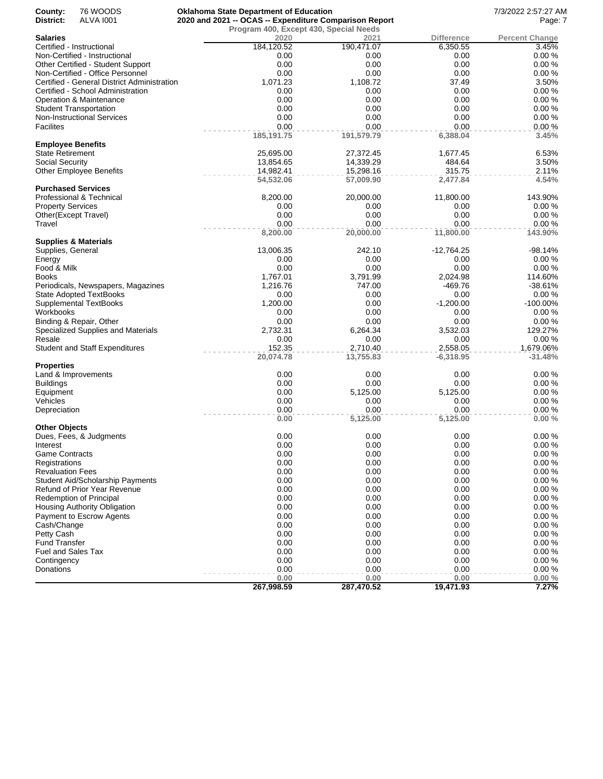| County:                  | 76 WOODS                                    | <b>Oklahoma State Department of Education</b>          |            |                   | 7/3/2022 2:57:27 AM   |
|--------------------------|---------------------------------------------|--------------------------------------------------------|------------|-------------------|-----------------------|
| District:                | <b>ALVA 1001</b>                            | 2020 and 2021 -- OCAS -- Expenditure Comparison Report | Page: 7    |                   |                       |
|                          |                                             | Program 400, Except 430, Special Needs                 |            |                   |                       |
| Salaries                 |                                             | 2020                                                   | 2021       | <b>Difference</b> | <b>Percent Change</b> |
|                          | Certified - Instructional                   | 184,120.52                                             | 190,471.07 | 6,350.55          | 3.45%                 |
|                          | Non-Certified - Instructional               | 0.00                                                   | 0.00       | 0.00              | 0.00%                 |
|                          | Other Certified - Student Support           | 0.00                                                   | 0.00       | 0.00              | 0.00%                 |
|                          | Non-Certified - Office Personnel            | 0.00                                                   | 0.00       | 0.00              | 0.00%                 |
|                          | Certified - General District Administration | 1,071.23                                               | 1,108.72   | 37.49             | 3.50%                 |
|                          | Certified - School Administration           | 0.00                                                   | 0.00       | 0.00              | 0.00%                 |
|                          | Operation & Maintenance                     | 0.00                                                   | 0.00       | 0.00              | 0.00%                 |
|                          | <b>Student Transportation</b>               | 0.00                                                   | 0.00       | 0.00              | 0.00%                 |
|                          | Non-Instructional Services                  | 0.00                                                   | 0.00       | 0.00              | 0.00%                 |
| Facilites                |                                             | 0.00                                                   | 0.00       | 0.00              | 0.00%                 |
|                          |                                             | 185, 191.75                                            | 191,579.79 | 6,388.04          | 3.45%                 |
| Employee Benefits        |                                             |                                                        |            |                   |                       |
| State Retirement         |                                             | 25,695.00                                              | 27,372.45  | 1,677.45          | 6.53%                 |
| Social Security          |                                             | 13,854.65                                              | 14,339.29  | 484.64            | 3.50%                 |
|                          | <b>Other Employee Benefits</b>              | 14,982.41                                              | 15,298.16  | 315.75            | 2.11%                 |
|                          |                                             | 54,532.06                                              | 57,009.90  | 2,477.84          | 4.54%                 |
|                          | <b>Purchased Services</b>                   |                                                        |            |                   |                       |
|                          | Professional & Technical                    | 8,200.00                                               | 20,000.00  | 11,800.00         | 143.90%               |
| <b>Property Services</b> |                                             | 0.00                                                   | 0.00       | 0.00              | 0.00%                 |
| Other(Except Travel)     |                                             | 0.00                                                   | 0.00       | 0.00              | 0.00%                 |
| Travel                   |                                             | 0.00                                                   | 0.00       | 0.00              | 0.00%                 |
|                          |                                             |                                                        |            | 11,800.00         | 143.90%               |
|                          |                                             | 8,200.00                                               | 20,000.00  |                   |                       |
|                          | Supplies & Materials                        |                                                        | 242.10     |                   |                       |
| Supplies, General        |                                             | 13,006.35                                              |            | -12,764.25        | $-98.14%$             |
| Energy                   |                                             | 0.00                                                   | 0.00       | 0.00              | 0.00%                 |
| Food & Milk              |                                             | 0.00                                                   | 0.00       | 0.00              | 0.00%                 |
| Books                    |                                             | 1,767.01                                               | 3,791.99   | 2,024.98          | 114.60%               |
|                          | Periodicals, Newspapers, Magazines          | 1,216.76                                               | 747.00     | -469.76           | $-38.61%$             |
|                          | <b>State Adopted TextBooks</b>              | 0.00                                                   | 0.00       | 0.00              | 0.00%                 |
|                          | Supplemental TextBooks                      | 1,200.00                                               | 0.00       | $-1,200.00$       | $-100.00\%$           |
| Workbooks                |                                             | 0.00                                                   | 0.00       | 0.00              | 0.00%                 |
|                          | Binding & Repair, Other                     | 0.00                                                   | 0.00       | 0.00              | 0.00%                 |
|                          | Specialized Supplies and Materials          | 2,732.31                                               | 6,264.34   | 3,532.03          | 129.27%               |
| Resale                   |                                             | 0.00                                                   | 0.00       | 0.00              | 0.00%                 |
|                          | <b>Student and Staff Expenditures</b>       | 152.35                                                 | 2,710.40   | 2,558.05          | 1,679.06%             |
|                          |                                             | 20,074.78                                              | 13,755.83  | $-6,318.95$       | $-31.48%$             |
| <b>Properties</b>        |                                             |                                                        |            |                   |                       |
|                          | Land & Improvements                         | 0.00                                                   | 0.00       | 0.00              | 0.00%                 |
| Buildings                |                                             | 0.00                                                   | 0.00       | 0.00              | 0.00%                 |
| Equipment                |                                             | 0.00                                                   | 5,125.00   | 5,125.00          | 0.00%                 |
| Vehicles                 |                                             | 0.00                                                   | 0.00       | 0.00              | 0.00%                 |
| Depreciation             |                                             | 0.00                                                   | 0.00       | 0.00              | 0.00%                 |
|                          |                                             | 0.00                                                   | 5,125.00   | 5,125.00          | 0.00%                 |
| Other Objects            |                                             |                                                        |            |                   |                       |
|                          | Dues, Fees, & Judgments                     | 0.00                                                   | 0.00       | 0.00              | 0.00%                 |
| Interest                 |                                             | 0.00                                                   | 0.00       | 0.00              | 0.00%                 |
| Game Contracts           |                                             | 0.00                                                   | 0.00       | 0.00              | 0.00%                 |
|                          |                                             | 0.00                                                   | 0.00       | 0.00              | 0.00%                 |
| Registrations            |                                             |                                                        |            |                   |                       |
| <b>Revaluation Fees</b>  |                                             | 0.00                                                   | 0.00       | 0.00              | 0.00%                 |
|                          | Student Aid/Scholarship Payments            | 0.00                                                   | 0.00       | 0.00              | 0.00%                 |
|                          | Refund of Prior Year Revenue                | 0.00                                                   | 0.00       | 0.00              | 0.00%                 |
|                          | Redemption of Principal                     | 0.00                                                   | 0.00       | 0.00              | 0.00%                 |
|                          | Housing Authority Obligation                | 0.00                                                   | 0.00       | 0.00              | 0.00%                 |
|                          | Payment to Escrow Agents                    | 0.00                                                   | 0.00       | 0.00              | 0.00%                 |
| Cash/Change              |                                             | 0.00                                                   | 0.00       | 0.00              | 0.00%                 |
| Petty Cash               |                                             | 0.00                                                   | 0.00       | 0.00              | 0.00%                 |
| <b>Fund Transfer</b>     |                                             | 0.00                                                   | 0.00       | 0.00              | 0.00%                 |
| Fuel and Sales Tax       |                                             | 0.00                                                   | 0.00       | 0.00              | 0.00%                 |
| Contingency              |                                             | 0.00                                                   | 0.00       | 0.00              | 0.00%                 |
| Donations                |                                             | 0.00                                                   | 0.00       | 0.00              | 0.00%                 |
|                          |                                             | 0.00                                                   | 0.00       | 0.00              | 0.00%                 |
|                          |                                             | 267,998.59                                             | 287,470.52 | 19,471.93         | 7.27%                 |
|                          |                                             |                                                        |            |                   |                       |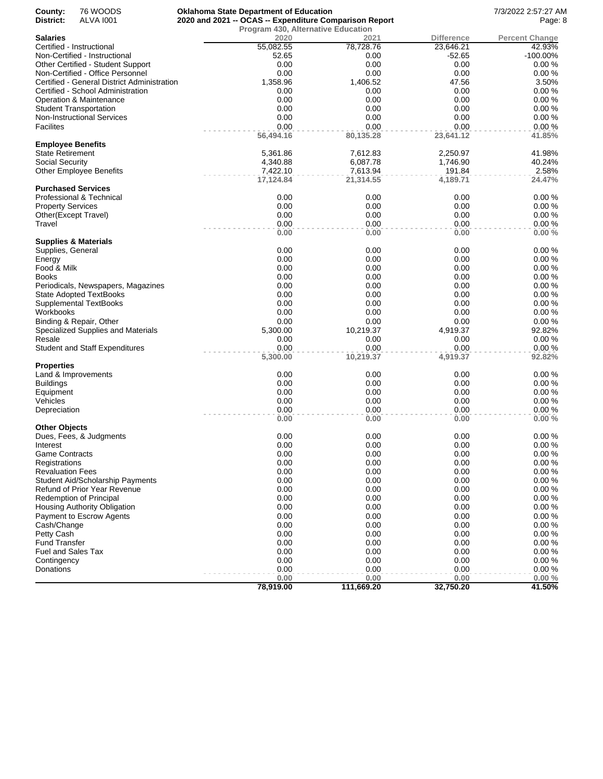| County:                  | 76 WOODS                                                 | <b>Oklahoma State Department of Education</b>          |                      |                    | 7/3/2022 2:57:27 AM   |
|--------------------------|----------------------------------------------------------|--------------------------------------------------------|----------------------|--------------------|-----------------------|
| District:                | <b>ALVA 1001</b>                                         | 2020 and 2021 -- OCAS -- Expenditure Comparison Report | Page: 8              |                    |                       |
|                          |                                                          | Program 430, Alternative Education                     |                      |                    |                       |
| Salaries                 |                                                          | 2020                                                   | 2021                 | <b>Difference</b>  | <b>Percent Change</b> |
|                          | Certified - Instructional                                | 55,082.55                                              | 78,728.76            | 23,646.21          | 42.93%                |
|                          | Non-Certified - Instructional                            | 52.65                                                  | 0.00                 | $-52.65$           | $-100.00\%$           |
|                          | Other Certified - Student Support                        | 0.00                                                   | 0.00                 | 0.00               | 0.00%                 |
|                          | Non-Certified - Office Personnel                         | 0.00                                                   | 0.00                 | 0.00               | 0.00%                 |
|                          | Certified - General District Administration              | 1,358.96                                               | 1,406.52             | 47.56              | 3.50%                 |
|                          | Certified - School Administration                        | 0.00                                                   | 0.00                 | 0.00               | 0.00%                 |
|                          | Operation & Maintenance                                  | 0.00                                                   | 0.00                 | 0.00               | 0.00%                 |
|                          | <b>Student Transportation</b>                            | 0.00                                                   | 0.00                 | 0.00               | 0.00%                 |
|                          | <b>Non-Instructional Services</b>                        | 0.00                                                   | 0.00                 | 0.00               | 0.00%                 |
| Facilites                |                                                          | 0.00                                                   | 0.00                 | 0.00               | 0.00%                 |
| <b>Employee Benefits</b> |                                                          | 56,494.16                                              | 80,135.28            | 23,641.12          | 41.85%                |
| State Retirement         |                                                          |                                                        | 7,612.83             | 2,250.97           | 41.98%                |
|                          |                                                          | 5,361.86                                               |                      |                    | 40.24%                |
| Social Security          | <b>Other Employee Benefits</b>                           | 4,340.88<br>7,422.10                                   | 6,087.78<br>7,613.94 | 1,746.90<br>191.84 | 2.58%                 |
|                          |                                                          | 17,124.84                                              | 21,314.55            | 4,189.71           | 24.47%                |
|                          | <b>Purchased Services</b>                                |                                                        |                      |                    |                       |
|                          | Professional & Technical                                 | 0.00                                                   | 0.00                 | 0.00               | 0.00%                 |
| <b>Property Services</b> |                                                          | 0.00                                                   | 0.00                 | 0.00               | 0.00%                 |
|                          | Other(Except Travel)                                     | 0.00                                                   | 0.00                 | 0.00               | 0.00%                 |
| Travel                   |                                                          | 0.00                                                   | 0.00                 | 0.00               | 0.00%                 |
|                          |                                                          | 0.00                                                   | 0.00                 | 0.00               | 0.00%                 |
|                          | Supplies & Materials                                     |                                                        |                      |                    |                       |
| Supplies, General        |                                                          | 0.00                                                   | 0.00                 | 0.00               | 0.00%                 |
| Energy                   |                                                          | 0.00                                                   | 0.00                 | 0.00               | 0.00%                 |
| Food & Milk              |                                                          | 0.00                                                   | 0.00                 | 0.00               | 0.00%                 |
| Books                    |                                                          | 0.00                                                   | 0.00                 | 0.00               | 0.00%                 |
|                          | Periodicals, Newspapers, Magazines                       | 0.00                                                   | 0.00                 | 0.00               | 0.00%                 |
|                          | <b>State Adopted TextBooks</b>                           | 0.00                                                   | 0.00                 | 0.00               | 0.00%                 |
|                          | Supplemental TextBooks                                   | 0.00                                                   | 0.00                 | 0.00               | 0.00%                 |
| Workbooks                |                                                          | 0.00                                                   | 0.00                 | 0.00               | 0.00%                 |
|                          | Binding & Repair, Other                                  | 0.00                                                   | 0.00                 | 0.00               | 0.00%                 |
|                          | Specialized Supplies and Materials                       | 5,300.00                                               | 10,219.37            | 4,919.37           | 92.82%                |
| Resale                   |                                                          | 0.00                                                   | 0.00                 | 0.00               | 0.00%                 |
|                          | <b>Student and Staff Expenditures</b>                    | 0.00                                                   | 0.00                 | 0.00               | 0.00%                 |
|                          |                                                          | 5,300.00                                               | 10,219.37            | 4,919.37           | 92.82%                |
| Properties               |                                                          |                                                        |                      |                    |                       |
|                          | Land & Improvements                                      | 0.00                                                   | 0.00                 | 0.00               | 0.00%                 |
| Buildings                |                                                          | 0.00                                                   | 0.00                 | 0.00               | 0.00%                 |
| Equipment                |                                                          | 0.00                                                   | 0.00                 | 0.00               | 0.00%                 |
| Vehicles                 |                                                          | 0.00                                                   | 0.00                 | 0.00               | 0.00%                 |
| Depreciation             |                                                          | 0.00                                                   | 0.00                 | 0.00               | 0.00%                 |
|                          |                                                          | 0.00                                                   | 0.00                 | 0.00               | 0.00%                 |
| Other Objects            |                                                          |                                                        |                      |                    |                       |
|                          | Dues, Fees, & Judgments                                  | 0.00                                                   | 0.00                 | 0.00               | 0.00%                 |
| Interest                 |                                                          | 0.00                                                   | 0.00                 | 0.00               | 0.00%                 |
| <b>Game Contracts</b>    |                                                          | 0.00                                                   | 0.00                 | 0.00               | 0.00%                 |
| Registrations            |                                                          | 0.00                                                   | 0.00                 | 0.00<br>0.00       | 0.00%                 |
| <b>Revaluation Fees</b>  |                                                          | 0.00                                                   | 0.00                 |                    | 0.00%                 |
|                          | Student Aid/Scholarship Payments                         | 0.00                                                   | 0.00                 | 0.00               | 0.00%                 |
|                          | Refund of Prior Year Revenue                             | 0.00                                                   | 0.00                 | 0.00               | 0.00%                 |
|                          | Redemption of Principal                                  | 0.00<br>0.00                                           | 0.00<br>0.00         | 0.00<br>0.00       | 0.00%<br>0.00%        |
|                          | Housing Authority Obligation<br>Payment to Escrow Agents |                                                        |                      |                    | 0.00%                 |
|                          |                                                          | 0.00                                                   | 0.00                 | 0.00               |                       |
| Cash/Change              |                                                          | 0.00                                                   | 0.00                 | 0.00               | 0.00%                 |
| Petty Cash               |                                                          | 0.00                                                   | 0.00                 | 0.00               | 0.00%                 |
| Fund Transfer            |                                                          | 0.00                                                   | 0.00                 | 0.00               | 0.00%                 |
| Fuel and Sales Tax       |                                                          | 0.00                                                   | 0.00                 | 0.00               | 0.00%                 |
| Contingency              |                                                          | 0.00                                                   | 0.00                 | 0.00               | 0.00%                 |
| Donations                |                                                          | 0.00                                                   | 0.00<br>0.00         | 0.00<br>0.00       | 0.00%                 |
|                          |                                                          | 0.00<br>78,919.00                                      | 111,669.20           | 32,750.20          | 0.00%<br>41.50%       |
|                          |                                                          |                                                        |                      |                    |                       |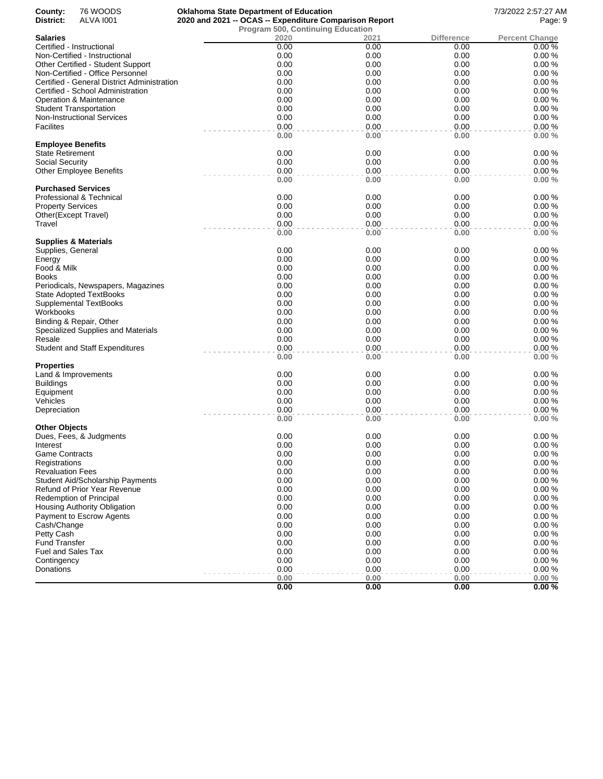| County:                  | 76 WOODS                                    |                                                        | <b>Oklahoma State Department of Education</b> |              |                   | 7/3/2022 2:57:27 AM   |
|--------------------------|---------------------------------------------|--------------------------------------------------------|-----------------------------------------------|--------------|-------------------|-----------------------|
| District:                | <b>ALVA 1001</b>                            | 2020 and 2021 -- OCAS -- Expenditure Comparison Report |                                               |              | Page: 9           |                       |
|                          |                                             |                                                        | <b>Program 500, Continuing Education</b>      |              |                   |                       |
| <b>Salaries</b>          |                                             |                                                        | 2020                                          | 2021         | <b>Difference</b> | <b>Percent Change</b> |
|                          | Certified - Instructional                   |                                                        | 0.00                                          | 0.00         | 0.00              | 0.00%                 |
|                          | Non-Certified - Instructional               |                                                        | 0.00                                          | 0.00         | 0.00              | 0.00%                 |
|                          | Other Certified - Student Support           |                                                        | 0.00                                          | 0.00         | 0.00              | 0.00%                 |
|                          | Non-Certified - Office Personnel            |                                                        | 0.00                                          | 0.00         | 0.00              | 0.00%                 |
|                          | Certified - General District Administration |                                                        | 0.00                                          | 0.00         | 0.00              | 0.00%                 |
|                          | Certified - School Administration           |                                                        | 0.00                                          | 0.00         | 0.00              | 0.00%                 |
|                          | Operation & Maintenance                     |                                                        | 0.00                                          | 0.00         | 0.00              | 0.00%                 |
|                          | <b>Student Transportation</b>               |                                                        | 0.00                                          | 0.00         | 0.00              | 0.00%                 |
|                          | <b>Non-Instructional Services</b>           |                                                        | 0.00                                          | 0.00         | 0.00              | 0.00%                 |
| <b>Facilites</b>         |                                             |                                                        | 0.00                                          | 0.00         | 0.00              | 0.00%                 |
| <b>Employee Benefits</b> |                                             |                                                        | 0.00                                          | 0.00         | 0.00              | 0.00%                 |
| <b>State Retirement</b>  |                                             |                                                        | 0.00                                          | 0.00         | 0.00              | 0.00%                 |
| Social Security          |                                             |                                                        | 0.00                                          | 0.00         | 0.00              | 0.00%                 |
|                          | <b>Other Employee Benefits</b>              |                                                        | 0.00                                          | 0.00         | 0.00              | 0.00%                 |
|                          |                                             |                                                        | 0.00                                          | 0.00         | 0.00              | 0.00%                 |
|                          | <b>Purchased Services</b>                   |                                                        |                                               |              |                   |                       |
|                          | Professional & Technical                    |                                                        | 0.00                                          | 0.00         | 0.00              | 0.00%                 |
| <b>Property Services</b> |                                             |                                                        | 0.00                                          | 0.00         | 0.00              | 0.00%                 |
|                          | Other(Except Travel)                        |                                                        | 0.00                                          | 0.00         | 0.00              | 0.00%                 |
| Travel                   |                                             |                                                        | 0.00                                          | 0.00         | 0.00              | 0.00%                 |
|                          | <b>Supplies &amp; Materials</b>             |                                                        | 0.00                                          | 0.00         | 0.00              | 0.00%                 |
| Supplies, General        |                                             |                                                        | 0.00                                          | 0.00         | 0.00              | 0.00%                 |
| Energy                   |                                             |                                                        | 0.00                                          | 0.00         | 0.00              | 0.00%                 |
| Food & Milk              |                                             |                                                        | 0.00                                          | 0.00         | 0.00              | 0.00%                 |
| <b>Books</b>             |                                             |                                                        | 0.00                                          | 0.00         | 0.00              | 0.00%                 |
|                          |                                             |                                                        | 0.00                                          | 0.00         | 0.00              | 0.00%                 |
|                          | Periodicals, Newspapers, Magazines          |                                                        | 0.00                                          | 0.00         | 0.00              | 0.00%                 |
|                          | <b>State Adopted TextBooks</b>              |                                                        | 0.00                                          | 0.00         | 0.00              | 0.00%                 |
|                          | Supplemental TextBooks                      |                                                        |                                               |              |                   |                       |
| Workbooks                |                                             |                                                        | 0.00                                          | 0.00         | 0.00              | 0.00%                 |
|                          | Binding & Repair, Other                     |                                                        | 0.00                                          | 0.00         | 0.00              | 0.00%                 |
|                          | Specialized Supplies and Materials          |                                                        | 0.00                                          | 0.00         | 0.00              | 0.00%                 |
| Resale                   |                                             |                                                        | 0.00                                          | 0.00         | 0.00              | 0.00%                 |
|                          | <b>Student and Staff Expenditures</b>       |                                                        | 0.00<br>0.00                                  | 0.00<br>0.00 | 0.00<br>0.00      | 0.00%<br>0.00%        |
| <b>Properties</b>        |                                             |                                                        |                                               |              |                   |                       |
|                          | Land & Improvements                         |                                                        | 0.00                                          | 0.00         | 0.00              | 0.00%                 |
| <b>Buildings</b>         |                                             |                                                        | 0.00                                          | 0.00         | 0.00              | 0.00%                 |
| Equipment                |                                             |                                                        | 0.00                                          | 0.00         | 0.00              | 0.00%                 |
| Vehicles                 |                                             |                                                        | 0.00                                          | 0.00         | 0.00              | 0.00%                 |
| Depreciation             |                                             |                                                        | 0.00                                          | 0.00         | 0.00              | 0.00%                 |
|                          |                                             |                                                        | 0.00                                          | 0.00         | 0.00              | 0.00%                 |
| <b>Other Objects</b>     |                                             |                                                        |                                               |              |                   |                       |
|                          | Dues, Fees, & Judgments                     |                                                        | 0.00                                          | 0.00         | 0.00              | 0.00%                 |
| Interest                 |                                             |                                                        | 0.00                                          | 0.00         | 0.00              | 0.00%                 |
| <b>Game Contracts</b>    |                                             |                                                        | 0.00                                          | 0.00         | 0.00              | 0.00%                 |
| Registrations            |                                             |                                                        | 0.00                                          | 0.00         | 0.00              | 0.00%                 |
| <b>Revaluation Fees</b>  |                                             |                                                        | 0.00                                          | 0.00         | 0.00              | 0.00%                 |
|                          | <b>Student Aid/Scholarship Payments</b>     |                                                        | 0.00                                          | 0.00         | 0.00              | 0.00%                 |
|                          | Refund of Prior Year Revenue                |                                                        | 0.00                                          | 0.00         | 0.00              | 0.00%                 |
|                          | <b>Redemption of Principal</b>              |                                                        | 0.00                                          | 0.00         | 0.00              | 0.00%                 |
|                          | Housing Authority Obligation                |                                                        | 0.00                                          | 0.00         | 0.00              | 0.00%                 |
|                          | Payment to Escrow Agents                    |                                                        | 0.00                                          | 0.00         | 0.00              | 0.00%                 |
| Cash/Change              |                                             |                                                        | 0.00                                          | 0.00         | 0.00              | 0.00%                 |
| Petty Cash               |                                             |                                                        | 0.00                                          | 0.00         | 0.00              | 0.00%                 |
| <b>Fund Transfer</b>     |                                             |                                                        | 0.00                                          | 0.00         | 0.00              | 0.00%                 |
| Fuel and Sales Tax       |                                             |                                                        | 0.00                                          | 0.00         | 0.00              | 0.00%                 |
| Contingency              |                                             |                                                        | 0.00                                          | 0.00         | 0.00              | 0.00%                 |
| Donations                |                                             |                                                        | 0.00                                          | 0.00         | 0.00              | 0.00%                 |
|                          |                                             |                                                        | 0.00                                          | 0.00         | 0.00              | 0.00%                 |
|                          |                                             |                                                        | 0.00                                          | 0.00         | 0.00              | 0.00%                 |
|                          |                                             |                                                        |                                               |              |                   |                       |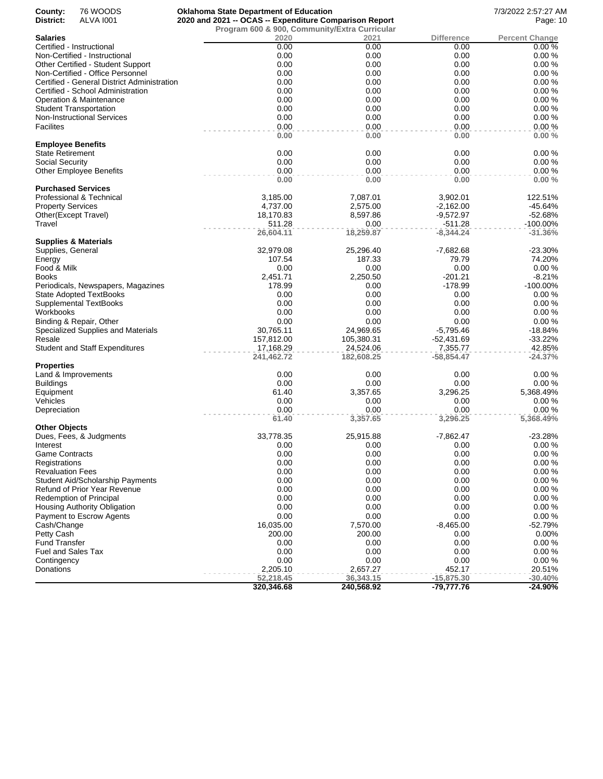| County:                                  | 76 WOODS                                                                       | <b>Oklahoma State Department of Education</b>          |                    |                     | 7/3/2022 2:57:27 AM   |
|------------------------------------------|--------------------------------------------------------------------------------|--------------------------------------------------------|--------------------|---------------------|-----------------------|
| District:                                | ALVA 1001                                                                      | 2020 and 2021 -- OCAS -- Expenditure Comparison Report |                    | Page: 10            |                       |
|                                          |                                                                                | Program 600 & 900, Community/Extra Curricular          |                    |                     |                       |
| <b>Salaries</b>                          |                                                                                | 2020                                                   | 2021               | Difference          | <b>Percent Change</b> |
|                                          | Certified - Instructional                                                      | 0.00                                                   | 0.00               | 0.00                | 0.00%                 |
|                                          | Non-Certified - Instructional                                                  | 0.00                                                   | 0.00               | 0.00                | 0.00%                 |
|                                          | Other Certified - Student Support                                              | 0.00                                                   | 0.00               | 0.00                | 0.00%                 |
|                                          | Non-Certified - Office Personnel                                               | 0.00                                                   | 0.00               | 0.00                | 0.00%                 |
|                                          | Certified - General District Administration                                    | 0.00                                                   | 0.00               | 0.00                | 0.00%                 |
|                                          | Certified - School Administration                                              | 0.00                                                   | 0.00               | 0.00                | 0.00%                 |
|                                          | Operation & Maintenance                                                        | 0.00                                                   | 0.00               | 0.00                | 0.00%                 |
|                                          | <b>Student Transportation</b>                                                  | 0.00                                                   | 0.00               | 0.00                | 0.00%                 |
|                                          | <b>Non-Instructional Services</b>                                              | 0.00                                                   | 0.00               | 0.00                | 0.00%                 |
| <b>Facilites</b>                         |                                                                                | 0.00                                                   | 0.00               | 0.00                | 0.00%                 |
|                                          |                                                                                | 0.00                                                   | 0.00               | 0.00                | 0.00%                 |
| <b>Employee Benefits</b>                 |                                                                                |                                                        |                    |                     |                       |
| <b>State Retirement</b>                  |                                                                                | 0.00                                                   | 0.00               | 0.00                | 0.00%                 |
| Social Security                          |                                                                                | 0.00                                                   | 0.00               | 0.00                | 0.00%                 |
|                                          | <b>Other Employee Benefits</b>                                                 | 0.00                                                   | 0.00               | 0.00                | 0.00%                 |
|                                          |                                                                                | 0.00                                                   | 0.00               | 0.00                | 0.00%                 |
|                                          | <b>Purchased Services</b>                                                      |                                                        |                    |                     |                       |
|                                          | Professional & Technical                                                       | 3,185.00                                               | 7,087.01           | 3,902.01            | 122.51%               |
| <b>Property Services</b>                 |                                                                                | 4,737.00                                               | 2,575.00           | $-2,162.00$         | $-45.64%$             |
|                                          | Other(Except Travel)                                                           | 18,170.83                                              | 8,597.86           | $-9,572.97$         | $-52.68%$             |
| Travel                                   |                                                                                | 511.28                                                 | 0.00               | $-511.28$           | -100.00%              |
|                                          |                                                                                | 26,604.11                                              | 18,259.87          | $-8,344.24$         | $-31.36%$             |
|                                          | <b>Supplies &amp; Materials</b>                                                |                                                        |                    |                     |                       |
| Supplies, General                        |                                                                                | 32,979.08                                              | 25,296.40          | $-7,682.68$         | $-23.30%$             |
| Energy                                   |                                                                                | 107.54                                                 | 187.33             | 79.79               | 74.20%                |
| Food & Milk                              |                                                                                | 0.00                                                   | 0.00               | 0.00                | 0.00%                 |
| <b>Books</b>                             |                                                                                | 2,451.71                                               | 2,250.50           | $-201.21$           | $-8.21%$              |
|                                          | Periodicals, Newspapers, Magazines                                             | 178.99                                                 | 0.00               | $-178.99$           | -100.00%              |
|                                          | <b>State Adopted TextBooks</b>                                                 | 0.00                                                   | 0.00               | 0.00                | 0.00%                 |
|                                          | <b>Supplemental TextBooks</b>                                                  | 0.00                                                   | 0.00               | 0.00                | 0.00%                 |
| Workbooks                                |                                                                                | 0.00                                                   | 0.00               | 0.00                | 0.00%                 |
|                                          | Binding & Repair, Other                                                        | 0.00                                                   | 0.00               | 0.00                | 0.00%                 |
|                                          | Specialized Supplies and Materials                                             | 30,765.11                                              | 24,969.65          | $-5,795.46$         | $-18.84%$             |
| Resale                                   |                                                                                | 157,812.00                                             | 105,380.31         | $-52,431.69$        | $-33.22%$             |
|                                          | <b>Student and Staff Expenditures</b>                                          | 17,168.29                                              | 24,524.06          | 7,355.77            | 42.85%                |
|                                          |                                                                                | 241,462.72                                             | 182,608.25         | -58,854.47          | $-24.37%$             |
| <b>Properties</b>                        |                                                                                |                                                        |                    |                     |                       |
|                                          | Land & Improvements                                                            | 0.00                                                   | 0.00               | 0.00                | 0.00%                 |
| <b>Buildings</b>                         |                                                                                | 0.00                                                   | 0.00               | 0.00                | 0.00%                 |
| Equipment                                |                                                                                | 61.40                                                  | 3,357.65           | 3,296.25            | 5,368.49%             |
| Vehicles                                 |                                                                                | 0.00                                                   | 0.00               | 0.00                | 0.00%                 |
| Depreciation                             |                                                                                | 0.00<br>61.40                                          | 0.00               | 0.00                | 0.00%                 |
|                                          |                                                                                |                                                        | 3,357.65           | 3,296.25            | 5,368.49%             |
| <b>Other Objects</b>                     |                                                                                | 33,778.35                                              | 25,915.88          |                     | $-23.28%$             |
|                                          | Dues, Fees, & Judgments                                                        | 0.00                                                   | 0.00               | $-7,862.47$<br>0.00 | 0.00%                 |
| Interest                                 |                                                                                | 0.00                                                   | 0.00               | 0.00                | 0.00%                 |
| <b>Game Contracts</b>                    |                                                                                | 0.00                                                   | 0.00               | 0.00                | 0.00%                 |
| Registrations<br><b>Revaluation Fees</b> |                                                                                | 0.00                                                   | 0.00               | 0.00                | 0.00%                 |
|                                          |                                                                                | 0.00                                                   | 0.00               | 0.00                | 0.00%                 |
|                                          | <b>Student Aid/Scholarship Payments</b><br><b>Refund of Prior Year Revenue</b> | 0.00                                                   | 0.00               | 0.00                | 0.00%                 |
|                                          | Redemption of Principal                                                        | 0.00                                                   | 0.00               | 0.00                | 0.00%                 |
|                                          |                                                                                | 0.00                                                   | 0.00               | 0.00                | 0.00%                 |
|                                          | Housing Authority Obligation<br>Payment to Escrow Agents                       | 0.00                                                   | 0.00               | 0.00                | 0.00%                 |
|                                          |                                                                                | 16,035.00                                              |                    |                     | $-52.79%$             |
| Cash/Change<br>Petty Cash                |                                                                                | 200.00                                                 | 7,570.00<br>200.00 | $-8,465.00$         | 0.00%                 |
|                                          |                                                                                |                                                        |                    | 0.00                |                       |
| <b>Fund Transfer</b>                     |                                                                                | 0.00                                                   | 0.00               | 0.00                | 0.00%                 |
| Fuel and Sales Tax                       |                                                                                | 0.00                                                   | 0.00               | 0.00                | 0.00%                 |
| Contingency                              |                                                                                | 0.00                                                   | 0.00               | 0.00                | 0.00%                 |
| Donations                                |                                                                                | 2,205.10                                               | 2,657.27           | 452.17              | 20.51%                |
|                                          |                                                                                | 52,218.45                                              | 36,343.15          | $-15,875.30$        | $-30.40%$             |
|                                          |                                                                                | 320,346.68                                             | 240,568.92         | -79,777.76          | $-24.90%$             |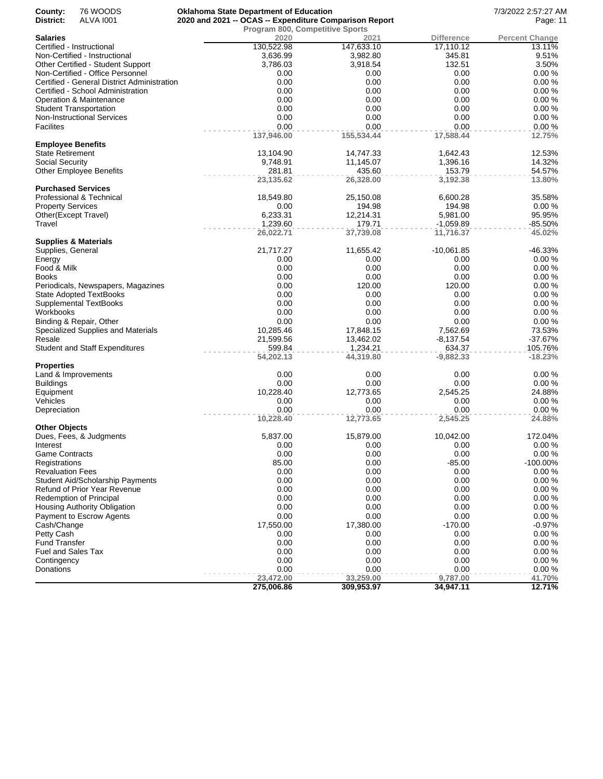| County:                  | 76 WOODS                                    | <b>Oklahoma State Department of Education</b>          |                                 |             | 7/3/2022 2:57:27 AM   |
|--------------------------|---------------------------------------------|--------------------------------------------------------|---------------------------------|-------------|-----------------------|
| District:                | <b>ALVA 1001</b>                            | 2020 and 2021 -- OCAS -- Expenditure Comparison Report |                                 |             | Page: 11              |
|                          |                                             |                                                        | Program 800, Competitive Sports |             |                       |
| <b>Salaries</b>          |                                             | 2020                                                   | 2021                            | Difference  | <b>Percent Change</b> |
|                          | Certified - Instructional                   | 130,522.98                                             | 147,633.10                      | 17,110.12   | 13.11%                |
|                          | Non-Certified - Instructional               | 3,636.99                                               | 3,982.80                        | 345.81      | 9.51%                 |
|                          | Other Certified - Student Support           | 3,786.03                                               | 3,918.54                        | 132.51      | 3.50%                 |
|                          | Non-Certified - Office Personnel            | 0.00                                                   | 0.00                            | 0.00        | 0.00%                 |
|                          | Certified - General District Administration | 0.00                                                   | 0.00                            | 0.00        | 0.00%                 |
|                          | Certified - School Administration           | 0.00                                                   | 0.00                            | 0.00        | 0.00%                 |
|                          | Operation & Maintenance                     | 0.00                                                   | 0.00                            | 0.00        | 0.00%                 |
|                          | <b>Student Transportation</b>               | 0.00                                                   | 0.00                            | 0.00        | 0.00%                 |
|                          | <b>Non-Instructional Services</b>           | 0.00                                                   | 0.00                            | 0.00        | 0.00%                 |
| <b>Facilites</b>         |                                             | 0.00                                                   | 0.00                            | 0.00        | 0.00%                 |
|                          |                                             | 137,946.00                                             | 155,534.44                      | 17,588.44   | 12.75%                |
| <b>Employee Benefits</b> |                                             |                                                        |                                 |             |                       |
| State Retirement         |                                             | 13,104.90                                              | 14,747.33                       | 1,642.43    | 12.53%                |
| <b>Social Security</b>   |                                             | 9,748.91                                               | 11,145.07                       | 1,396.16    | 14.32%                |
|                          | <b>Other Employee Benefits</b>              | 281.81                                                 | 435.60                          | 153.79      | 54.57%                |
|                          |                                             | 23,135.62                                              | 26,328.00                       | 3,192.38    | 13.80%                |
|                          | <b>Purchased Services</b>                   |                                                        |                                 |             |                       |
|                          | Professional & Technical                    | 18,549.80                                              | 25,150.08                       | 6,600.28    | 35.58%                |
| <b>Property Services</b> |                                             | 0.00                                                   | 194.98                          | 194.98      | 0.00%                 |
|                          | Other(Except Travel)                        | 6,233.31                                               | 12,214.31                       | 5,981.00    | 95.95%                |
| Travel                   |                                             | 1,239.60                                               | 179.71                          | $-1,059.89$ | $-85.50%$             |
|                          |                                             | 26,022.71                                              | 37,739.08                       | 11,716.37   | 45.02%                |
|                          | Supplies & Materials                        |                                                        |                                 |             |                       |
| Supplies, General        |                                             | 21,717.27                                              | 11,655.42                       | -10,061.85  | $-46.33%$             |
| Energy                   |                                             | 0.00                                                   | 0.00                            | 0.00        | 0.00%                 |
| Food & Milk              |                                             | 0.00                                                   | 0.00                            | 0.00        | 0.00%                 |
| <b>Books</b>             |                                             | 0.00                                                   | 0.00                            | 0.00        | 0.00%                 |
|                          | Periodicals, Newspapers, Magazines          | 0.00                                                   | 120.00                          | 120.00      | 0.00%                 |
|                          | <b>State Adopted TextBooks</b>              | 0.00                                                   | 0.00                            | 0.00        | 0.00%                 |
|                          | <b>Supplemental TextBooks</b>               | 0.00                                                   | 0.00                            | 0.00        | 0.00%                 |
| Workbooks                |                                             | 0.00                                                   | 0.00                            | 0.00        | 0.00%                 |
|                          | Binding & Repair, Other                     | 0.00                                                   | 0.00                            | 0.00        | 0.00%                 |
|                          | Specialized Supplies and Materials          | 10,285.46                                              | 17,848.15                       | 7,562.69    | 73.53%                |
| Resale                   |                                             | 21,599.56                                              | 13,462.02                       | $-8,137.54$ | $-37.67%$             |
|                          | <b>Student and Staff Expenditures</b>       | 599.84                                                 | 1,234.21                        | 634.37      | 105.76%               |
|                          |                                             | 54,202.13                                              | 44,319.80                       | $-9,882.33$ | $-18.23%$             |
| Properties               |                                             |                                                        |                                 |             |                       |
|                          | Land & Improvements                         | 0.00                                                   | 0.00                            | 0.00        | 0.00%                 |
| Buildings                |                                             | 0.00                                                   | 0.00                            | 0.00        | 0.00%                 |
| Equipment                |                                             | 10,228.40                                              | 12,773.65                       | 2,545.25    | 24.88%                |
| Vehicles                 |                                             | 0.00                                                   | 0.00                            | 0.00        | 0.00%                 |
| Depreciation             |                                             | 0.00                                                   | 0.00                            | 0.00        | 0.00%                 |
|                          |                                             | 10,228.40                                              | 12,773.65                       | 2,545.25    | 24.88%                |
| Other Objects            |                                             |                                                        |                                 |             |                       |
|                          | Dues, Fees, & Judgments                     | 5,837.00                                               | 15,879.00                       | 10,042.00   | 172.04%               |
| Interest                 |                                             | 0.00                                                   | 0.00                            | 0.00        | $0.00 \%$             |
| <b>Game Contracts</b>    |                                             | 0.00                                                   | 0.00                            | 0.00        | 0.00%                 |
| Registrations            |                                             | 85.00                                                  | 0.00                            | $-85.00$    | $-100.00\%$           |
| <b>Revaluation Fees</b>  |                                             | 0.00                                                   | 0.00                            | 0.00        | 0.00%                 |
|                          | Student Aid/Scholarship Payments            | 0.00                                                   | 0.00                            | 0.00        | 0.00%                 |
|                          | Refund of Prior Year Revenue                | 0.00                                                   | 0.00                            | 0.00        | 0.00%                 |
|                          | Redemption of Principal                     | 0.00                                                   | 0.00                            | 0.00        | 0.00%                 |
|                          | Housing Authority Obligation                | 0.00                                                   | 0.00                            | 0.00        | 0.00%                 |
|                          | Payment to Escrow Agents                    | 0.00                                                   | 0.00                            | 0.00        | 0.00%                 |
| Cash/Change              |                                             | 17,550.00                                              | 17,380.00                       | $-170.00$   | $-0.97%$              |
| Petty Cash               |                                             | 0.00                                                   | 0.00                            | 0.00        | 0.00%                 |
| Fund Transfer            |                                             | 0.00                                                   | 0.00                            | 0.00        | 0.00%                 |
| Fuel and Sales Tax       |                                             | 0.00                                                   | 0.00                            | 0.00        | 0.00%                 |
| Contingency              |                                             | 0.00                                                   | 0.00                            | 0.00        | 0.00%                 |
| Donations                |                                             | 0.00                                                   | 0.00                            | 0.00        | 0.00%                 |
|                          |                                             | 23,472.00                                              | 33,259.00                       | 9,787.00    | 41.70%                |
|                          |                                             | 275,006.86                                             | 309,953.97                      | 34,947.11   | 12.71%                |
|                          |                                             |                                                        |                                 |             |                       |